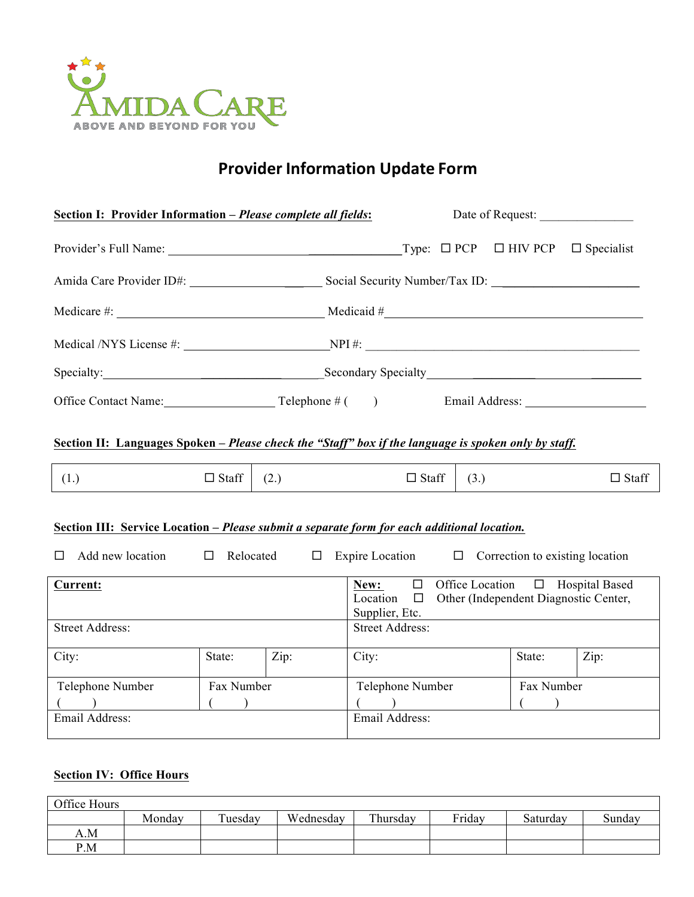

# **Provider Information Update Form**

| Section I: Provider Information - Please complete all fields:                                                                                                                                                                  |                       |      |                 | Date of Request:                                                                                                                    |  |      |      |                   |  |  |  |
|--------------------------------------------------------------------------------------------------------------------------------------------------------------------------------------------------------------------------------|-----------------------|------|-----------------|-------------------------------------------------------------------------------------------------------------------------------------|--|------|------|-------------------|--|--|--|
|                                                                                                                                                                                                                                |                       |      |                 |                                                                                                                                     |  |      |      | $\Box$ Specialist |  |  |  |
|                                                                                                                                                                                                                                |                       |      |                 |                                                                                                                                     |  |      |      |                   |  |  |  |
|                                                                                                                                                                                                                                |                       |      |                 | Medicare #: $\qquad \qquad$ Medicaid #                                                                                              |  |      |      |                   |  |  |  |
|                                                                                                                                                                                                                                |                       |      |                 | Medical /NYS License #: NPI #: NPI #:                                                                                               |  |      |      |                   |  |  |  |
| Secondary Secondary Secondary Secondary Secondary Secondary Secondary Secondary Secondary Secondary Secondary Secondary Secondary Secondary Secondary Secondary Secondary Secondary Secondary Secondary Secondary Secondary Se |                       |      |                 |                                                                                                                                     |  |      |      |                   |  |  |  |
| Office Contact Name: Telephone # () Email Address: ______________________________                                                                                                                                              |                       |      |                 |                                                                                                                                     |  |      |      |                   |  |  |  |
| Section II: Languages Spoken – Please check the "Staff" box if the language is spoken only by staff.                                                                                                                           |                       |      |                 |                                                                                                                                     |  |      |      |                   |  |  |  |
| (1.)                                                                                                                                                                                                                           | $\Box$ Staff          | (2.) |                 | $\Box$ Staff                                                                                                                        |  | (3.) |      | $\Box$ Staff      |  |  |  |
| Section III: Service Location - Please submit a separate form for each additional location.<br>Add new location<br>$\Box$ Relocated<br>Expire Location $\Box$<br>Correction to existing location<br>$\Box$<br>П                |                       |      |                 |                                                                                                                                     |  |      |      |                   |  |  |  |
| <b>Current:</b>                                                                                                                                                                                                                |                       |      |                 | Office Location □ Hospital Based<br>$\Box$<br>New:<br>Other (Independent Diagnostic Center,<br>Location<br>$\Box$<br>Supplier, Etc. |  |      |      |                   |  |  |  |
| <b>Street Address:</b>                                                                                                                                                                                                         |                       |      |                 | <b>Street Address:</b>                                                                                                              |  |      |      |                   |  |  |  |
| City:                                                                                                                                                                                                                          | State:                | Zip: | City:<br>State: |                                                                                                                                     |  |      | Zip: |                   |  |  |  |
| Telephone Number<br>Email Address:                                                                                                                                                                                             | Fax Number<br>$($ $)$ |      |                 | Telephone Number<br>Fax Number<br>$($ $)$<br>Email Address:                                                                         |  |      |      |                   |  |  |  |
|                                                                                                                                                                                                                                |                       |      |                 |                                                                                                                                     |  |      |      |                   |  |  |  |

## **Section IV: Office Hours**

| Office Hours |        |         |           |          |        |          |        |
|--------------|--------|---------|-----------|----------|--------|----------|--------|
|              | Monday | Tuesday | Wednesday | Thursday | Friday | Saturday | Sundav |
| A.M          |        |         |           |          |        |          |        |
| P.M          |        |         |           |          |        |          |        |